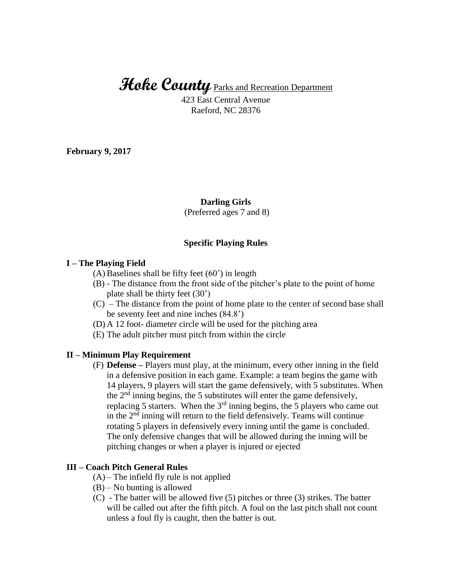# **Hoke County** Parks and Recreation Department

423 East Central Avenue Raeford, NC 28376

**February 9, 2017**

### **Darling Girls**

(Preferred ages 7 and 8)

#### **Specific Playing Rules**

#### **I – The Playing Field**

- (A) Baselines shall be fifty feet (60') in length
- (B) The distance from the front side of the pitcher's plate to the point of home plate shall be thirty feet (30')
- (C) The distance from the point of home plate to the center of second base shall be seventy feet and nine inches (84.8')
- (D) A 12 foot- diameter circle will be used for the pitching area
- (E) The adult pitcher must pitch from within the circle

### **II – Minimum Play Requirement**

(F) **Defense –** Players must play, at the minimum, every other inning in the field in a defensive position in each game. Example: a team begins the game with 14 players, 9 players will start the game defensively, with 5 substitutes. When the  $2<sup>nd</sup>$  inning begins, the 5 substitutes will enter the game defensively, replacing 5 starters. When the  $3<sup>rd</sup>$  inning begins, the 5 players who came out in the  $2<sup>nd</sup>$  inning will return to the field defensively. Teams will continue rotating 5 players in defensively every inning until the game is concluded. The only defensive changes that will be allowed during the inning will be pitching changes or when a player is injured or ejected

## **III – Coach Pitch General Rules**

- $(A)$  The infield fly rule is not applied
- $(B)$  No bunting is allowed
- (C) The batter will be allowed five (5) pitches or three (3) strikes. The batter will be called out after the fifth pitch. A foul on the last pitch shall not count unless a foul fly is caught, then the batter is out.